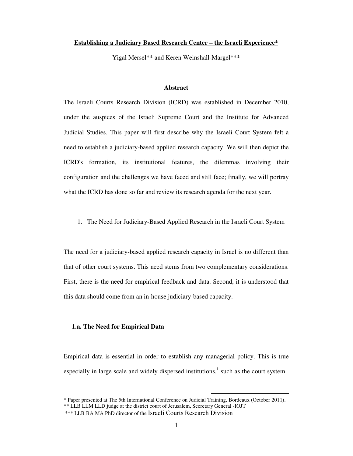#### **Establishing a Judiciary Based Research Center – the Israeli Experience\***

Yigal Mersel\*\* and Keren Weinshall-Margel\*\*\*

## **Abstract**

The Israeli Courts Research Division (ICRD) was established in December 2010, under the auspices of the Israeli Supreme Court and the Institute for Advanced Judicial Studies. This paper will first describe why the Israeli Court System felt a need to establish a judiciary-based applied research capacity. We will then depict the ICRD's formation, its institutional features, the dilemmas involving their configuration and the challenges we have faced and still face; finally, we will portray what the ICRD has done so far and review its research agenda for the next year.

## 1. The Need for Judiciary-Based Applied Research in the Israeli Court System

The need for a judiciary-based applied research capacity in Israel is no different than that of other court systems. This need stems from two complementary considerations. First, there is the need for empirical feedback and data. Second, it is understood that this data should come from an in-house judiciary-based capacity.

## **1.a. The Need for Empirical Data**

Empirical data is essential in order to establish any managerial policy. This is true especially in large scale and widely dispersed institutions,<sup>1</sup> such as the court system.

<sup>\*</sup> Paper presented at The 5th International Conference on Judicial Training, Bordeaux (October 2011). \*\* LLB LLM LLD judge at the district court of Jerusalem, Secretary General - IOJT \*\*\* LLB BA MA PhD director of the Israeli Courts Research Division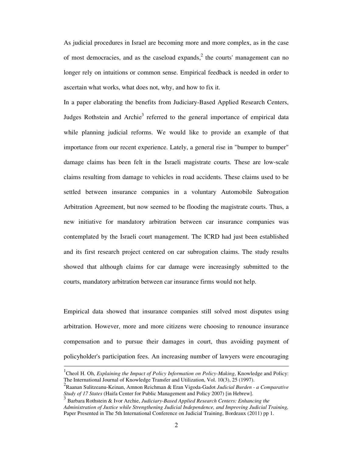As judicial procedures in Israel are becoming more and more complex, as in the case of most democracies, and as the caseload expands, $2$  the courts' management can no longer rely on intuitions or common sense. Empirical feedback is needed in order to ascertain what works, what does not, why, and how to fix it.

In a paper elaborating the benefits from Judiciary-Based Applied Research Centers, Judges Rothstein and Archie<sup>3</sup> referred to the general importance of empirical data while planning judicial reforms. We would like to provide an example of that importance from our recent experience. Lately, a general rise in "bumper to bumper" damage claims has been felt in the Israeli magistrate courts. These are low-scale claims resulting from damage to vehicles in road accidents. These claims used to be settled between insurance companies in a voluntary Automobile Subrogation Arbitration Agreement, but now seemed to be flooding the magistrate courts. Thus, a new initiative for mandatory arbitration between car insurance companies was contemplated by the Israeli court management. The ICRD had just been established and its first research project centered on car subrogation claims. The study results showed that although claims for car damage were increasingly submitted to the courts, mandatory arbitration between car insurance firms would not help.

Empirical data showed that insurance companies still solved most disputes using arbitration. However, more and more citizens were choosing to renounce insurance compensation and to pursue their damages in court, thus avoiding payment of policyholder's participation fees. An increasing number of lawyers were encouraging

<sup>&</sup>lt;sup>1</sup> Cheol H. Oh, *Explaining the Impact of Policy Information on Policy-Making*, Knowledge and Policy: The International Journal of Knowledge Transfer and Utilization, Vol. 10(3), 25 (1997).

<sup>2</sup> Raanan Sulitzeanu-Keinan, Amnon Reichman & Eran Vigoda-Gadot *Judicial Burden - a Comparative Study of 17 States* (Haifa Center for Public Management and Policy 2007) [in Hebrew].

Barbara Rothstein & Ivor Archie, *Judiciary-Based Applied Research Centers: Enhancing the Administration of Justice while Strengthening Judicial Independence, and Improving Judicial Training,* Paper Presented in The 5th International Conference on Judicial Training, Bordeaux (2011) pp 1.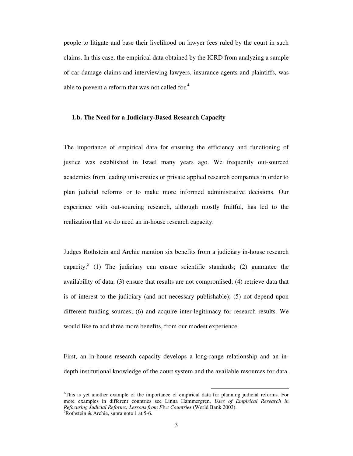people to litigate and base their livelihood on lawyer fees ruled by the court in such claims. In this case, the empirical data obtained by the ICRD from analyzing a sample of car damage claims and interviewing lawyers, insurance agents and plaintiffs, was able to prevent a reform that was not called for. $4$ 

## **1.b. The Need for a Judiciary-Based Research Capacity**

The importance of empirical data for ensuring the efficiency and functioning of justice was established in Israel many years ago. We frequently out-sourced academics from leading universities or private applied research companies in order to plan judicial reforms or to make more informed administrative decisions. Our experience with out-sourcing research, although mostly fruitful, has led to the realization that we do need an in-house research capacity.

Judges Rothstein and Archie mention six benefits from a judiciary in-house research capacity:<sup>5</sup> (1) The judiciary can ensure scientific standards; (2) guarantee the availability of data; (3) ensure that results are not compromised; (4) retrieve data that is of interest to the judiciary (and not necessary publishable); (5) not depend upon different funding sources; (6) and acquire inter-legitimacy for research results. We would like to add three more benefits, from our modest experience.

First, an in-house research capacity develops a long-range relationship and an indepth institutional knowledge of the court system and the available resources for data.

<sup>&</sup>lt;sup>4</sup>This is yet another example of the importance of empirical data for planning judicial reforms. For more examples in different countries see Linna Hammergren, *Uses of Empirical Research in Refocusing Judicial Reforms: Lessons from Five Countries* (World Bank 2003).  ${}^{5}$ Rothstein & Archie, supra note 1 at 5-6.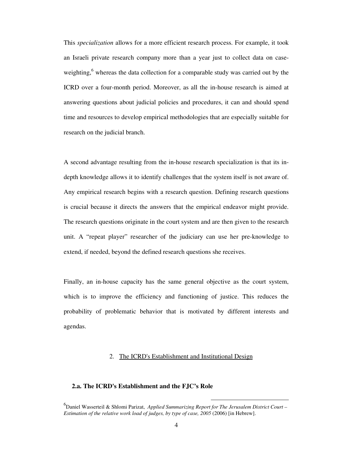This *specialization* allows for a more efficient research process. For example, it took an Israeli private research company more than a year just to collect data on caseweighting,<sup>6</sup> whereas the data collection for a comparable study was carried out by the ICRD over a four-month period. Moreover, as all the in-house research is aimed at answering questions about judicial policies and procedures, it can and should spend time and resources to develop empirical methodologies that are especially suitable for research on the judicial branch.

A second advantage resulting from the in-house research specialization is that its indepth knowledge allows it to identify challenges that the system itself is not aware of. Any empirical research begins with a research question. Defining research questions is crucial because it directs the answers that the empirical endeavor might provide. The research questions originate in the court system and are then given to the research unit. A "repeat player" researcher of the judiciary can use her pre-knowledge to extend, if needed, beyond the defined research questions she receives.

Finally, an in-house capacity has the same general objective as the court system, which is to improve the efficiency and functioning of justice. This reduces the probability of problematic behavior that is motivated by different interests and agendas.

## 2. The ICRD's Establishment and Institutional Design

# **2.a. The ICRD's Establishment and the FJC's Role**

<sup>6</sup> Daniel Wasserteil & Shlomi Parizat, *Applied Summarizing Report for The Jerusalem District Court – Estimation of the relative work load of judges, by type of case, 2005* (2006) [in Hebrew].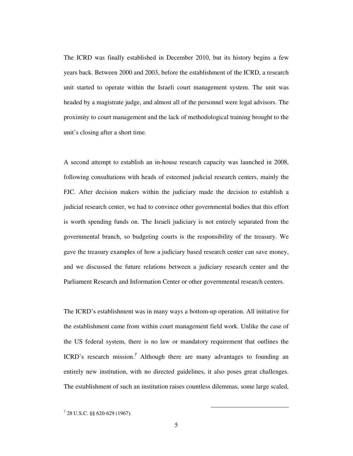The ICRD was finally established in December 2010, but its history begins a few years back. Between 2000 and 2003, before the establishment of the ICRD, a research unit started to operate within the Israeli court management system. The unit was headed by a magistrate judge, and almost all of the personnel were legal advisors. The proximity to court management and the lack of methodological training brought to the unit's closing after a short time.

A second attempt to establish an in-house research capacity was launched in 2008, following consultations with heads of esteemed judicial research centers, mainly the FJC. After decision makers within the judiciary made the decision to establish a judicial research center, we had to convince other governmental bodies that this effort is worth spending funds on. The Israeli judiciary is not entirely separated from the governmental branch, so budgeting courts is the responsibility of the treasury. We gave the treasury examples of how a judiciary based research center can save money, and we discussed the future relations between a judiciary research center and the Parliament Research and Information Center or other governmental research centers.

The ICRD's establishment was in many ways a bottom-up operation. All initiative for the establishment came from within court management field work. Unlike the case of the US federal system, there is no law or mandatory requirement that outlines the ICRD's research mission.<sup>7</sup> Although there are many advantages to founding an entirely new institution, with no directed guidelines, it also poses great challenges. The establishment of such an institution raises countless dilemmas, some large scaled,

<sup>7</sup> 28 U.S.C. §§ 620-629 (1967).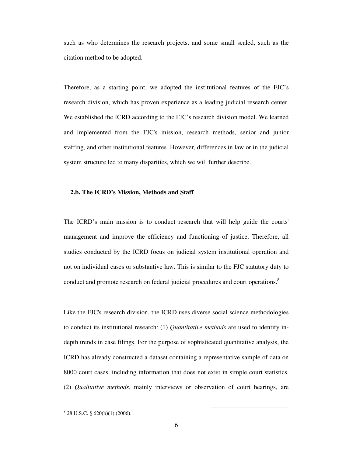such as who determines the research projects, and some small scaled, such as the citation method to be adopted.

Therefore, as a starting point, we adopted the institutional features of the FJC's research division, which has proven experience as a leading judicial research center. We established the ICRD according to the FJC's research division model. We learned and implemented from the FJC's mission, research methods, senior and junior staffing, and other institutional features. However, differences in law or in the judicial system structure led to many disparities, which we will further describe.

#### **2.b. The ICRD's Mission, Methods and Staff**

The ICRD's main mission is to conduct research that will help guide the courts' management and improve the efficiency and functioning of justice. Therefore, all studies conducted by the ICRD focus on judicial system institutional operation and not on individual cases or substantive law. This is similar to the FJC statutory duty to conduct and promote research on federal judicial procedures and court operations.<sup>8</sup>

Like the FJC's research division, the ICRD uses diverse social science methodologies to conduct its institutional research: (1) *Quantitative methods* are used to identify indepth trends in case filings. For the purpose of sophisticated quantitative analysis, the ICRD has already constructed a dataset containing a representative sample of data on 8000 court cases, including information that does not exist in simple court statistics. (2) *Qualitative methods*, mainly interviews or observation of court hearings, are

<sup>8</sup> 28 U.S.C. § 620(b)(1) (2006).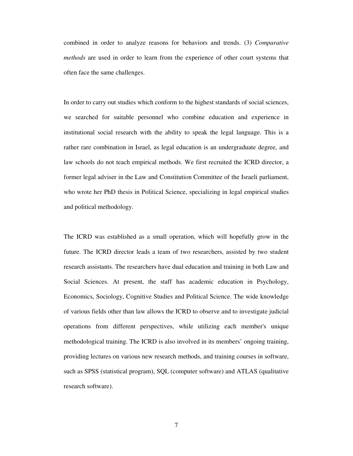combined in order to analyze reasons for behaviors and trends. (3) *Comparative methods* are used in order to learn from the experience of other court systems that often face the same challenges.

In order to carry out studies which conform to the highest standards of social sciences, we searched for suitable personnel who combine education and experience in institutional social research with the ability to speak the legal language. This is a rather rare combination in Israel, as legal education is an undergraduate degree, and law schools do not teach empirical methods. We first recruited the ICRD director, a former legal adviser in the Law and Constitution Committee of the Israeli parliament, who wrote her PhD thesis in Political Science, specializing in legal empirical studies and political methodology.

The ICRD was established as a small operation, which will hopefully grow in the future. The ICRD director leads a team of two researchers, assisted by two student research assistants. The researchers have dual education and training in both Law and Social Sciences. At present, the staff has academic education in Psychology, Economics, Sociology, Cognitive Studies and Political Science. The wide knowledge of various fields other than law allows the ICRD to observe and to investigate judicial operations from different perspectives, while utilizing each member's unique methodological training. The ICRD is also involved in its members' ongoing training, providing lectures on various new research methods, and training courses in software, such as SPSS (statistical program), SQL (computer software) and ATLAS (qualitative research software).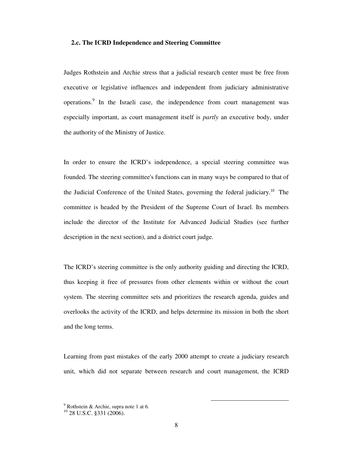## **2.c. The ICRD Independence and Steering Committee**

Judges Rothstein and Archie stress that a judicial research center must be free from executive or legislative influences and independent from judiciary administrative operations.<sup>9</sup> In the Israeli case, the independence from court management was especially important, as court management itself is *partly* an executive body, under the authority of the Ministry of Justice.

In order to ensure the ICRD's independence, a special steering committee was founded. The steering committee's functions can in many ways be compared to that of the Judicial Conference of the United States, governing the federal judiciary.<sup>10</sup> The committee is headed by the President of the Supreme Court of Israel. Its members include the director of the Institute for Advanced Judicial Studies (see further description in the next section), and a district court judge.

The ICRD's steering committee is the only authority guiding and directing the ICRD, thus keeping it free of pressures from other elements within or without the court system. The steering committee sets and prioritizes the research agenda, guides and overlooks the activity of the ICRD, and helps determine its mission in both the short and the long terms.

Learning from past mistakes of the early 2000 attempt to create a judiciary research unit, which did not separate between research and court management, the ICRD

 $9^9$  Rothstein & Archie, supra note 1 at 6.

 $^{10}$  28 U.S.C. §331 (2006).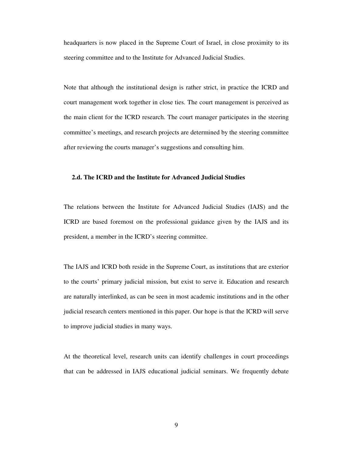headquarters is now placed in the Supreme Court of Israel, in close proximity to its steering committee and to the Institute for Advanced Judicial Studies.

Note that although the institutional design is rather strict, in practice the ICRD and court management work together in close ties. The court management is perceived as the main client for the ICRD research. The court manager participates in the steering committee's meetings, and research projects are determined by the steering committee after reviewing the courts manager's suggestions and consulting him.

# **2.d. The ICRD and the Institute for Advanced Judicial Studies**

The relations between the Institute for Advanced Judicial Studies (IAJS) and the ICRD are based foremost on the professional guidance given by the IAJS and its president, a member in the ICRD's steering committee.

The IAJS and ICRD both reside in the Supreme Court, as institutions that are exterior to the courts' primary judicial mission, but exist to serve it. Education and research are naturally interlinked, as can be seen in most academic institutions and in the other judicial research centers mentioned in this paper. Our hope is that the ICRD will serve to improve judicial studies in many ways.

At the theoretical level, research units can identify challenges in court proceedings that can be addressed in IAJS educational judicial seminars. We frequently debate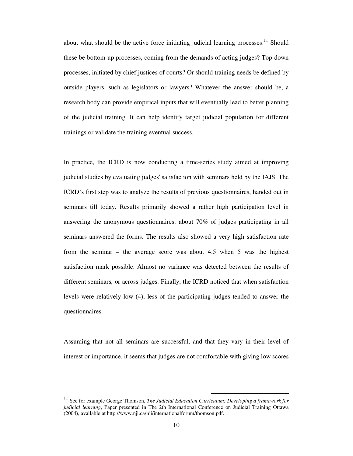about what should be the active force initiating judicial learning processes.<sup>11</sup> Should these be bottom-up processes, coming from the demands of acting judges? Top-down processes, initiated by chief justices of courts? Or should training needs be defined by outside players, such as legislators or lawyers? Whatever the answer should be, a research body can provide empirical inputs that will eventually lead to better planning of the judicial training. It can help identify target judicial population for different trainings or validate the training eventual success.

In practice, the ICRD is now conducting a time-series study aimed at improving judicial studies by evaluating judges' satisfaction with seminars held by the IAJS. The ICRD's first step was to analyze the results of previous questionnaires, handed out in seminars till today. Results primarily showed a rather high participation level in answering the anonymous questionnaires: about 70% of judges participating in all seminars answered the forms. The results also showed a very high satisfaction rate from the seminar – the average score was about 4.5 when 5 was the highest satisfaction mark possible. Almost no variance was detected between the results of different seminars, or across judges. Finally, the ICRD noticed that when satisfaction levels were relatively low (4), less of the participating judges tended to answer the questionnaires.

Assuming that not all seminars are successful, and that they vary in their level of interest or importance, it seems that judges are not comfortable with giving low scores

<sup>11</sup> See for example George Thomson, *The Judicial Education Curriculum: Developing a framework for judicial learning*, Paper presented in The 2th International Conference on Judicial Training Ottawa (2004), available at http://www.nji.ca/nji/internationalforum/thomson.pdf.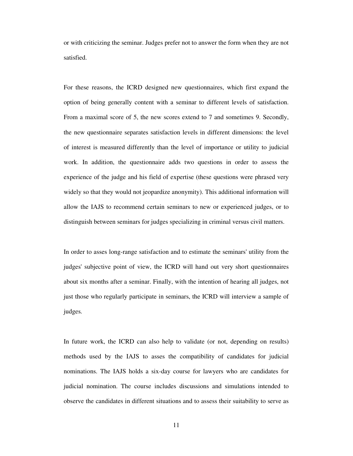or with criticizing the seminar. Judges prefer not to answer the form when they are not satisfied.

For these reasons, the ICRD designed new questionnaires, which first expand the option of being generally content with a seminar to different levels of satisfaction. From a maximal score of 5, the new scores extend to 7 and sometimes 9. Secondly, the new questionnaire separates satisfaction levels in different dimensions: the level of interest is measured differently than the level of importance or utility to judicial work. In addition, the questionnaire adds two questions in order to assess the experience of the judge and his field of expertise (these questions were phrased very widely so that they would not jeopardize anonymity). This additional information will allow the IAJS to recommend certain seminars to new or experienced judges, or to distinguish between seminars for judges specializing in criminal versus civil matters.

In order to asses long-range satisfaction and to estimate the seminars' utility from the judges' subjective point of view, the ICRD will hand out very short questionnaires about six months after a seminar. Finally, with the intention of hearing all judges, not just those who regularly participate in seminars, the ICRD will interview a sample of judges.

In future work, the ICRD can also help to validate (or not, depending on results) methods used by the IAJS to asses the compatibility of candidates for judicial nominations. The IAJS holds a six-day course for lawyers who are candidates for judicial nomination. The course includes discussions and simulations intended to observe the candidates in different situations and to assess their suitability to serve as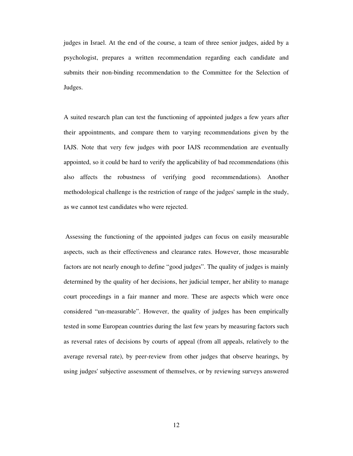judges in Israel. At the end of the course, a team of three senior judges, aided by a psychologist, prepares a written recommendation regarding each candidate and submits their non-binding recommendation to the Committee for the Selection of Judges.

A suited research plan can test the functioning of appointed judges a few years after their appointments, and compare them to varying recommendations given by the IAJS. Note that very few judges with poor IAJS recommendation are eventually appointed, so it could be hard to verify the applicability of bad recommendations (this also affects the robustness of verifying good recommendations). Another methodological challenge is the restriction of range of the judges' sample in the study, as we cannot test candidates who were rejected.

 Assessing the functioning of the appointed judges can focus on easily measurable aspects, such as their effectiveness and clearance rates. However, those measurable factors are not nearly enough to define "good judges". The quality of judges is mainly determined by the quality of her decisions, her judicial temper, her ability to manage court proceedings in a fair manner and more. These are aspects which were once considered "un-measurable". However, the quality of judges has been empirically tested in some European countries during the last few years by measuring factors such as reversal rates of decisions by courts of appeal (from all appeals, relatively to the average reversal rate), by peer-review from other judges that observe hearings, by using judges' subjective assessment of themselves, or by reviewing surveys answered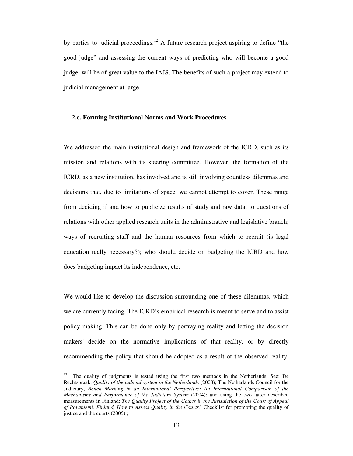by parties to judicial proceedings.<sup>12</sup> A future research project aspiring to define "the good judge" and assessing the current ways of predicting who will become a good judge, will be of great value to the IAJS. The benefits of such a project may extend to judicial management at large.

## **2.e. Forming Institutional Norms and Work Procedures**

We addressed the main institutional design and framework of the ICRD, such as its mission and relations with its steering committee. However, the formation of the ICRD, as a new institution, has involved and is still involving countless dilemmas and decisions that, due to limitations of space, we cannot attempt to cover. These range from deciding if and how to publicize results of study and raw data; to questions of relations with other applied research units in the administrative and legislative branch; ways of recruiting staff and the human resources from which to recruit (is legal education really necessary?); who should decide on budgeting the ICRD and how does budgeting impact its independence, etc.

We would like to develop the discussion surrounding one of these dilemmas, which we are currently facing. The ICRD's empirical research is meant to serve and to assist policy making. This can be done only by portraying reality and letting the decision makers' decide on the normative implications of that reality, or by directly recommending the policy that should be adopted as a result of the observed reality.

<sup>&</sup>lt;sup>12</sup> The quality of judgments is tested using the first two methods in the Netherlands. See: De Rechtspraak, *Quality of the judicial system in the Netherlands* (2008); The Netherlands Council for the Judiciary, *Bench Marking in an International Perspective: An International Comparison of the Mechanisms and Performance of the Judiciary System* (2004); and using the two latter described measurements in Finland: *The Quality Project of the Courts in the Jurisdiction of the Court of Appeal of Rovaniemi, Finland, How to Assess Quality in the Courts?* Checklist for promoting the quality of justice and the courts (2005) ;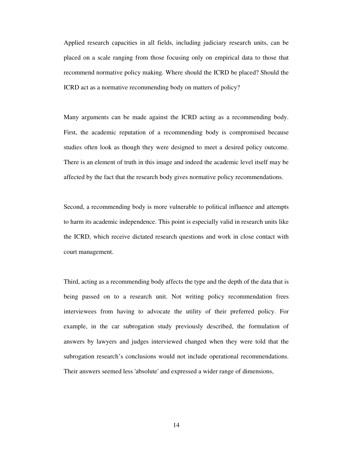Applied research capacities in all fields, including judiciary research units, can be placed on a scale ranging from those focusing only on empirical data to those that recommend normative policy making. Where should the ICRD be placed? Should the ICRD act as a normative recommending body on matters of policy?

Many arguments can be made against the ICRD acting as a recommending body. First, the academic reputation of a recommending body is compromised because studies often look as though they were designed to meet a desired policy outcome. There is an element of truth in this image and indeed the academic level itself may be affected by the fact that the research body gives normative policy recommendations.

Second, a recommending body is more vulnerable to political influence and attempts to harm its academic independence. This point is especially valid in research units like the ICRD, which receive dictated research questions and work in close contact with court management.

Third, acting as a recommending body affects the type and the depth of the data that is being passed on to a research unit. Not writing policy recommendation frees interviewees from having to advocate the utility of their preferred policy. For example, in the car subrogation study previously described, the formulation of answers by lawyers and judges interviewed changed when they were told that the subrogation research's conclusions would not include operational recommendations. Their answers seemed less 'absolute' and expressed a wider range of dimensions,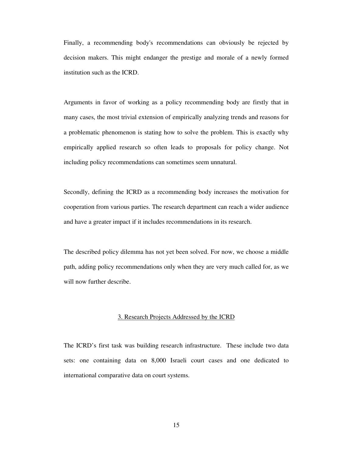Finally, a recommending body's recommendations can obviously be rejected by decision makers. This might endanger the prestige and morale of a newly formed institution such as the ICRD.

Arguments in favor of working as a policy recommending body are firstly that in many cases, the most trivial extension of empirically analyzing trends and reasons for a problematic phenomenon is stating how to solve the problem. This is exactly why empirically applied research so often leads to proposals for policy change. Not including policy recommendations can sometimes seem unnatural.

Secondly, defining the ICRD as a recommending body increases the motivation for cooperation from various parties. The research department can reach a wider audience and have a greater impact if it includes recommendations in its research.

The described policy dilemma has not yet been solved. For now, we choose a middle path, adding policy recommendations only when they are very much called for, as we will now further describe.

#### 3. Research Projects Addressed by the ICRD

The ICRD's first task was building research infrastructure. These include two data sets: one containing data on 8,000 Israeli court cases and one dedicated to international comparative data on court systems.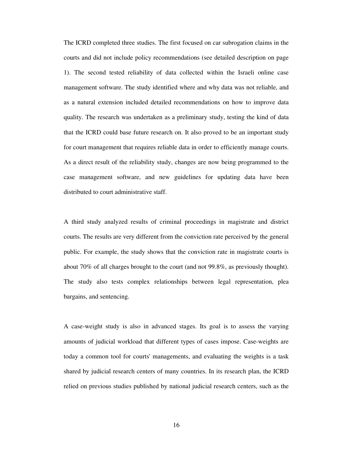The ICRD completed three studies. The first focused on car subrogation claims in the courts and did not include policy recommendations (see detailed description on page 1). The second tested reliability of data collected within the Israeli online case management software. The study identified where and why data was not reliable, and as a natural extension included detailed recommendations on how to improve data quality. The research was undertaken as a preliminary study, testing the kind of data that the ICRD could base future research on. It also proved to be an important study for court management that requires reliable data in order to efficiently manage courts. As a direct result of the reliability study, changes are now being programmed to the case management software, and new guidelines for updating data have been distributed to court administrative staff.

A third study analyzed results of criminal proceedings in magistrate and district courts. The results are very different from the conviction rate perceived by the general public. For example, the study shows that the conviction rate in magistrate courts is about 70% of all charges brought to the court (and not 99.8%, as previously thought). The study also tests complex relationships between legal representation, plea bargains, and sentencing.

A case-weight study is also in advanced stages. Its goal is to assess the varying amounts of judicial workload that different types of cases impose. Case-weights are today a common tool for courts' managements, and evaluating the weights is a task shared by judicial research centers of many countries. In its research plan, the ICRD relied on previous studies published by national judicial research centers, such as the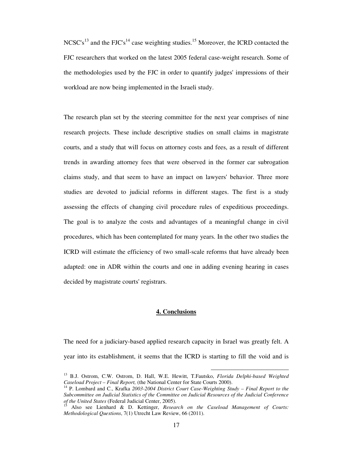$NCSC's<sup>13</sup>$  and the FJC's<sup>14</sup> case weighting studies.<sup>15</sup> Moreover, the ICRD contacted the FJC researchers that worked on the latest 2005 federal case-weight research. Some of the methodologies used by the FJC in order to quantify judges' impressions of their workload are now being implemented in the Israeli study.

The research plan set by the steering committee for the next year comprises of nine research projects. These include descriptive studies on small claims in magistrate courts, and a study that will focus on attorney costs and fees, as a result of different trends in awarding attorney fees that were observed in the former car subrogation claims study, and that seem to have an impact on lawyers' behavior. Three more studies are devoted to judicial reforms in different stages. The first is a study assessing the effects of changing civil procedure rules of expeditious proceedings. The goal is to analyze the costs and advantages of a meaningful change in civil procedures, which has been contemplated for many years. In the other two studies the ICRD will estimate the efficiency of two small-scale reforms that have already been adapted: one in ADR within the courts and one in adding evening hearing in cases decided by magistrate courts' registrars.

## **4. Conclusions**

The need for a judiciary-based applied research capacity in Israel was greatly felt. A year into its establishment, it seems that the ICRD is starting to fill the void and is

<sup>13</sup> B.J. Ostrom, C.W. Ostrom, D. Hall, W.E. Hewitt, T.Fautsko, *Florida Delphi-based Weighted Caseload Project – Final Report,* (the National Center for State Courts 2000).

<sup>14</sup> P. Lombard and C., Krafka *2003-2004 District Court Case-Weighting Study – Final Report to the Subcommittee on Judicial Statistics of the Committee on Judicial Resources of the Judicial Conference of the United States* (Federal Judicial Center, 2005).

<sup>15</sup> Also see Lienhard & D. Kettinger, *Research on the Caseload Management of Courts: Methodological Questions*, 7(1) Utrecht Law Review, 66 (2011).